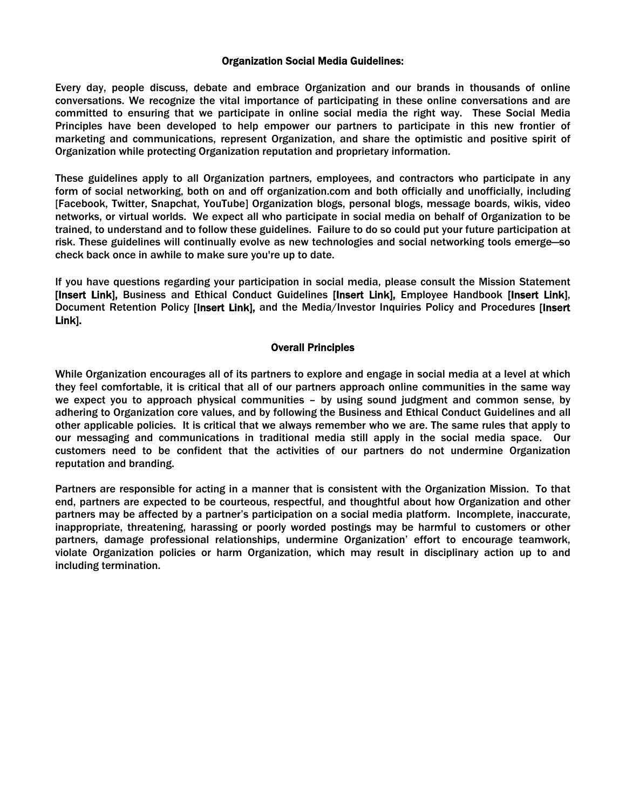#### Organization Social Media Guidelines:

Every day, people discuss, debate and embrace Organization and our brands in thousands of online conversations. We recognize the vital importance of participating in these online conversations and are committed to ensuring that we participate in online social media the right way. These Social Media Principles have been developed to help empower our partners to participate in this new frontier of marketing and communications, represent Organization, and share the optimistic and positive spirit of Organization while protecting Organization reputation and proprietary information.

These guidelines apply to all Organization partners, employees, and contractors who participate in any form of social networking, both on and off organization.com and both officially and unofficially, including [Facebook, Twitter, Snapchat, YouTube] Organization blogs, personal blogs, message boards, wikis, video networks, or virtual worlds. We expect all who participate in social media on behalf of Organization to be trained, to understand and to follow these guidelines. Failure to do so could put your future participation at risk. These guidelines will continually evolve as new technologies and social networking tools emerge—so check back once in awhile to make sure you're up to date.

If you have questions regarding your participation in social media, please consult the Mission Statement [Insert Link], Business and Ethical Conduct Guidelines [Insert Link], Employee Handbook [Insert Link], Document Retention Policy [Insert Link], and the Media/Investor Inquiries Policy and Procedures [Insert Link].

#### Overall Principles

While Organization encourages all of its partners to explore and engage in social media at a level at which they feel comfortable, it is critical that all of our partners approach online communities in the same way we expect you to approach physical communities – by using sound judgment and common sense, by adhering to Organization core values, and by following the Business and Ethical Conduct Guidelines and all other applicable policies. It is critical that we always remember who we are. The same rules that apply to our messaging and communications in traditional media still apply in the social media space. Our customers need to be confident that the activities of our partners do not undermine Organization reputation and branding.

Partners are responsible for acting in a manner that is consistent with the Organization Mission. To that end, partners are expected to be courteous, respectful, and thoughtful about how Organization and other partners may be affected by a partner's participation on a social media platform. Incomplete, inaccurate, inappropriate, threatening, harassing or poorly worded postings may be harmful to customers or other partners, damage professional relationships, undermine Organization' effort to encourage teamwork, violate Organization policies or harm Organization, which may result in disciplinary action up to and including termination.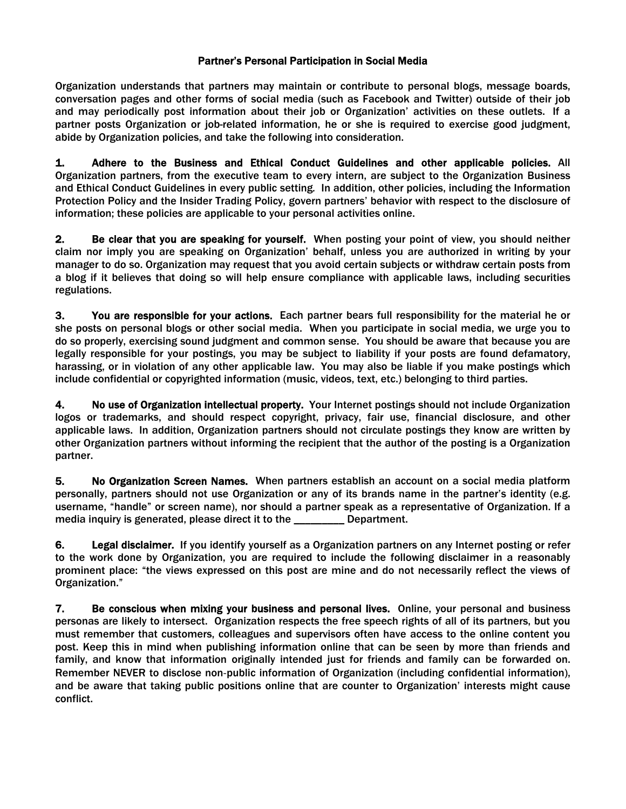# Partner's Personal Participation in Social Media

Organization understands that partners may maintain or contribute to personal blogs, message boards, conversation pages and other forms of social media (such as Facebook and Twitter) outside of their job and may periodically post information about their job or Organization' activities on these outlets. If a partner posts Organization or job-related information, he or she is required to exercise good judgment, abide by Organization policies, and take the following into consideration.

1. Adhere to the Business and Ethical Conduct Guidelines and other applicable policies. All Organization partners, from the executive team to every intern, are subject to the Organization Business and Ethical Conduct Guidelines in every public setting*.* In addition, other policies, including the Information Protection Policy and the Insider Trading Policy, govern partners' behavior with respect to the disclosure of information; these policies are applicable to your personal activities online.

2. Be clear that you are speaking for yourself. When posting your point of view, you should neither claim nor imply you are speaking on Organization' behalf, unless you are authorized in writing by your manager to do so. Organization may request that you avoid certain subjects or withdraw certain posts from a blog if it believes that doing so will help ensure compliance with applicable laws, including securities regulations.

3. You are responsible for your actions. Each partner bears full responsibility for the material he or she posts on personal blogs or other social media. When you participate in social media, we urge you to do so properly, exercising sound judgment and common sense. You should be aware that because you are legally responsible for your postings, you may be subject to liability if your posts are found defamatory, harassing, or in violation of any other applicable law. You may also be liable if you make postings which include confidential or copyrighted information (music, videos, text, etc.) belonging to third parties.

4. No use of Organization intellectual property. Your Internet postings should not include Organization logos or trademarks, and should respect copyright, privacy, fair use, financial disclosure, and other applicable laws. In addition, Organization partners should not circulate postings they know are written by other Organization partners without informing the recipient that the author of the posting is a Organization partner.

5. No Organization Screen Names. When partners establish an account on a social media platform personally, partners should not use Organization or any of its brands name in the partner's identity (e.g. username, "handle" or screen name), nor should a partner speak as a representative of Organization. If a media inquiry is generated, please direct it to the \_\_\_\_\_\_\_\_\_ Department.

6. Legal disclaimer. If you identify yourself as a Organization partners on any Internet posting or refer to the work done by Organization, you are required to include the following disclaimer in a reasonably prominent place: "the views expressed on this post are mine and do not necessarily reflect the views of Organization."

7. Be conscious when mixing your business and personal lives. Online, your personal and business personas are likely to intersect. Organization respects the free speech rights of all of its partners, but you must remember that customers, colleagues and supervisors often have access to the online content you post. Keep this in mind when publishing information online that can be seen by more than friends and family, and know that information originally intended just for friends and family can be forwarded on. Remember NEVER to disclose non‐public information of Organization (including confidential information), and be aware that taking public positions online that are counter to Organization' interests might cause conflict.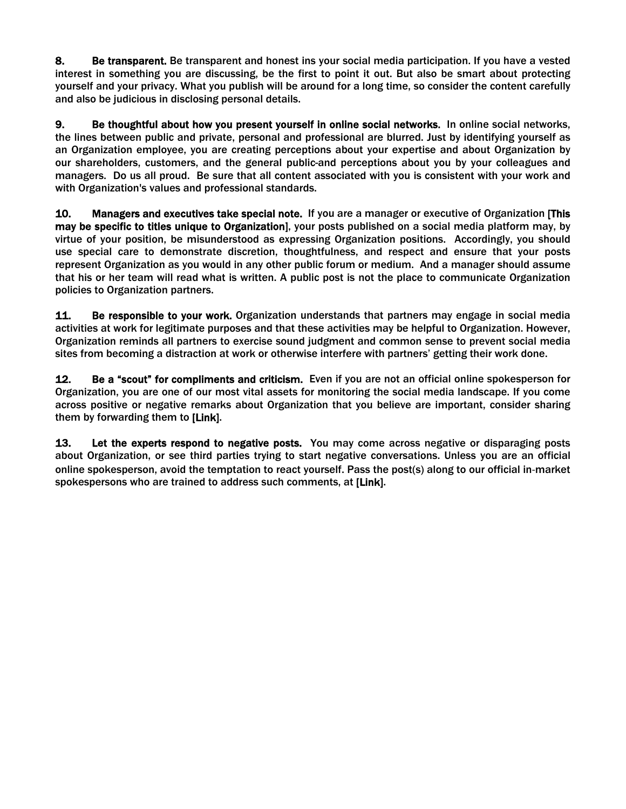8. Be transparent. Be transparent and honest ins your social media participation. If you have a vested interest in something you are discussing, be the first to point it out. But also be smart about protecting yourself and your privacy. What you publish will be around for a long time, so consider the content carefully and also be judicious in disclosing personal details.

9. Be thoughtful about how you present yourself in online social networks. In online social networks, the lines between public and private, personal and professional are blurred. Just by identifying yourself as an Organization employee, you are creating perceptions about your expertise and about Organization by our shareholders, customers, and the general public-and perceptions about you by your colleagues and managers. Do us all proud. Be sure that all content associated with you is consistent with your work and with Organization's values and professional standards.

10. Managers and executives take special note. If you are a manager or executive of Organization [This may be specific to titles unique to Organization], your posts published on a social media platform may, by virtue of your position, be misunderstood as expressing Organization positions. Accordingly, you should use special care to demonstrate discretion, thoughtfulness, and respect and ensure that your posts represent Organization as you would in any other public forum or medium. And a manager should assume that his or her team will read what is written. A public post is not the place to communicate Organization policies to Organization partners.

11. Be responsible to your work. Organization understands that partners may engage in social media activities at work for legitimate purposes and that these activities may be helpful to Organization. However, Organization reminds all partners to exercise sound judgment and common sense to prevent social media sites from becoming a distraction at work or otherwise interfere with partners' getting their work done.

12. Be a "scout" for compliments and criticism. Even if you are not an official online spokesperson for Organization, you are one of our most vital assets for monitoring the social media landscape. If you come across positive or negative remarks about Organization that you believe are important, consider sharing them by forwarding them to [Link].

13. Let the experts respond to negative posts. You may come across negative or disparaging posts about Organization, or see third parties trying to start negative conversations. Unless you are an official online spokesperson, avoid the temptation to react yourself. Pass the post(s) along to our official in‐market spokespersons who are trained to address such comments, at [Link].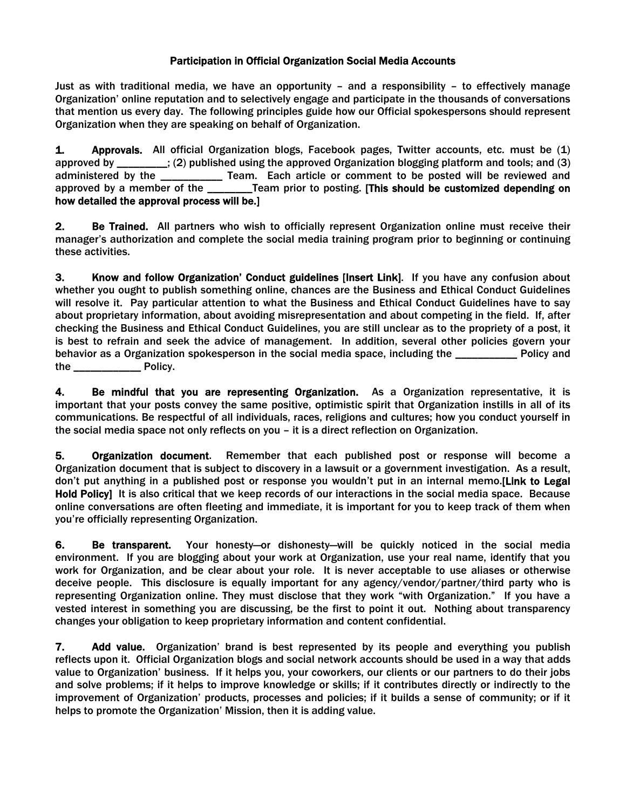# Participation in Official Organization Social Media Accounts

Just as with traditional media, we have an opportunity – and a responsibility – to effectively manage Organization' online reputation and to selectively engage and participate in the thousands of conversations that mention us every day. The following principles guide how our Official spokespersons should represent Organization when they are speaking on behalf of Organization.

1. Approvals. All official Organization blogs, Facebook pages, Twitter accounts, etc. must be (1) approved by \_\_\_\_\_\_\_\_\_; (2) published using the approved Organization blogging platform and tools; and (3) administered by the **The Comment of the Comment to be posted will be reviewed and** approved by a member of the \_\_\_\_\_\_\_\_Team prior to posting. [This should be customized depending on how detailed the approval process will be.]

2. Be Trained. All partners who wish to officially represent Organization online must receive their manager's authorization and complete the social media training program prior to beginning or continuing these activities.

3. Know and follow Organization' Conduct guidelines [Insert Link]. If you have any confusion about whether you ought to publish something online, chances are the Business and Ethical Conduct Guidelines will resolve it. Pay particular attention to what the Business and Ethical Conduct Guidelines have to say about proprietary information, about avoiding misrepresentation and about competing in the field. If, after checking the Business and Ethical Conduct Guidelines, you are still unclear as to the propriety of a post, it is best to refrain and seek the advice of management. In addition, several other policies govern your behavior as a Organization spokesperson in the social media space, including the \_\_\_\_\_\_\_\_\_\_\_ Policy and the \_\_\_\_\_\_\_\_\_\_\_\_ Policy.

4. Be mindful that you are representing Organization. As a Organization representative, it is important that your posts convey the same positive, optimistic spirit that Organization instills in all of its communications. Be respectful of all individuals, races, religions and cultures; how you conduct yourself in the social media space not only reflects on you – it is a direct reflection on Organization.

5. Organization document. Remember that each published post or response will become a Organization document that is subject to discovery in a lawsuit or a government investigation. As a result, don't put anything in a published post or response you wouldn't put in an internal memo.[Link to Legal Hold Policy] It is also critical that we keep records of our interactions in the social media space. Because online conversations are often fleeting and immediate, it is important for you to keep track of them when you're officially representing Organization.

6. Be transparent. Your honesty-or dishonesty-will be quickly noticed in the social media environment. If you are blogging about your work at Organization, use your real name, identify that you work for Organization, and be clear about your role. It is never acceptable to use aliases or otherwise deceive people. This disclosure is equally important for any agency/vendor/partner/third party who is representing Organization online. They must disclose that they work "with Organization." If you have a vested interest in something you are discussing, be the first to point it out. Nothing about transparency changes your obligation to keep proprietary information and content confidential.

7. Add value. Organization' brand is best represented by its people and everything you publish reflects upon it. Official Organization blogs and social network accounts should be used in a way that adds value to Organization' business. If it helps you, your coworkers, our clients or our partners to do their jobs and solve problems; if it helps to improve knowledge or skills; if it contributes directly or indirectly to the improvement of Organization' products, processes and policies; if it builds a sense of community; or if it helps to promote the Organization' Mission, then it is adding value.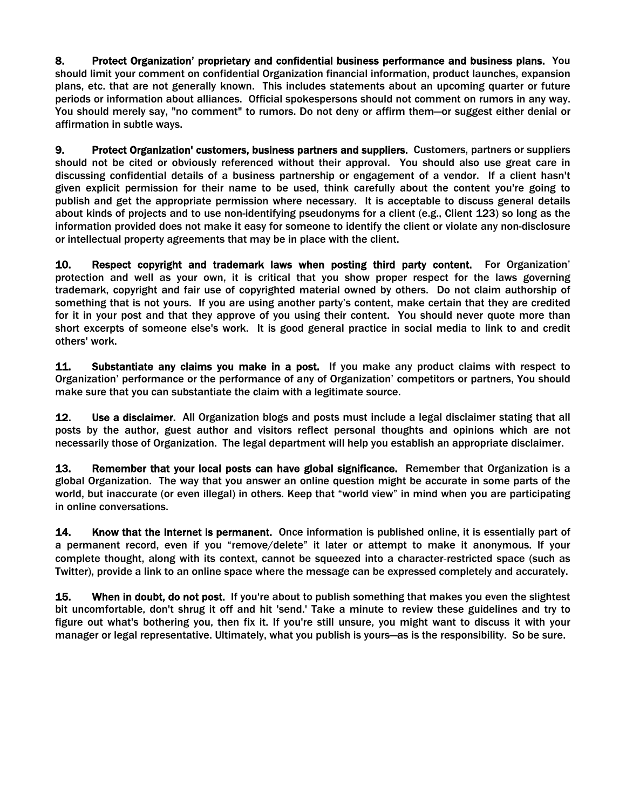8. Protect Organization' proprietary and confidential business performance and business plans. You should limit your comment on confidential Organization financial information, product launches, expansion plans, etc. that are not generally known. This includes statements about an upcoming quarter or future periods or information about alliances. Official spokespersons should not comment on rumors in any way. You should merely say, "no comment" to rumors. Do not deny or affirm them—or suggest either denial or affirmation in subtle ways.

9. Protect Organization' customers, business partners and suppliers. Customers, partners or suppliers should not be cited or obviously referenced without their approval. You should also use great care in discussing confidential details of a business partnership or engagement of a vendor. If a client hasn't given explicit permission for their name to be used, think carefully about the content you're going to publish and get the appropriate permission where necessary. It is acceptable to discuss general details about kinds of projects and to use non-identifying pseudonyms for a client (e.g., Client 123) so long as the information provided does not make it easy for someone to identify the client or violate any non-disclosure or intellectual property agreements that may be in place with the client.

10. Respect copyright and trademark laws when posting third party content. For Organization' protection and well as your own, it is critical that you show proper respect for the laws governing trademark, copyright and fair use of copyrighted material owned by others. Do not claim authorship of something that is not yours. If you are using another party's content, make certain that they are credited for it in your post and that they approve of you using their content. You should never quote more than short excerpts of someone else's work. It is good general practice in social media to link to and credit others' work.

11. Substantiate any claims you make in a post. If you make any product claims with respect to Organization' performance or the performance of any of Organization' competitors or partners, You should make sure that you can substantiate the claim with a legitimate source.

12. Use a disclaimer. All Organization blogs and posts must include a legal disclaimer stating that all posts by the author, guest author and visitors reflect personal thoughts and opinions which are not necessarily those of Organization. The legal department will help you establish an appropriate disclaimer.

13. Remember that your local posts can have global significance. Remember that Organization is a global Organization. The way that you answer an online question might be accurate in some parts of the world, but inaccurate (or even illegal) in others. Keep that "world view" in mind when you are participating in online conversations.

14. Know that the Internet is permanent. Once information is published online, it is essentially part of a permanent record, even if you "remove/delete" it later or attempt to make it anonymous. If your complete thought, along with its context, cannot be squeezed into a character‐restricted space (such as Twitter), provide a link to an online space where the message can be expressed completely and accurately.

15. When in doubt, do not post. If you're about to publish something that makes you even the slightest bit uncomfortable, don't shrug it off and hit 'send.' Take a minute to review these guidelines and try to figure out what's bothering you, then fix it. If you're still unsure, you might want to discuss it with your manager or legal representative. Ultimately, what you publish is yours—as is the responsibility. So be sure.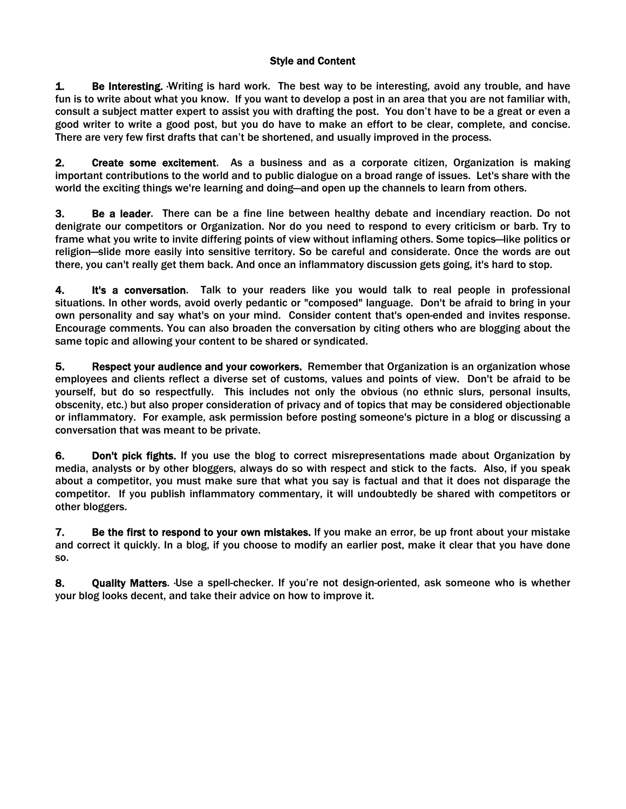# Style and Content

**1.** Be Interesting. Writing is hard work. The best way to be interesting, avoid any trouble, and have fun is to write about what you know. If you want to develop a post in an area that you are not familiar with, consult a subject matter expert to assist you with drafting the post. You don't have to be a great or even a good writer to write a good post, but you do have to make an effort to be clear, complete, and concise. There are very few first drafts that can't be shortened, and usually improved in the process.

2. Create some excitement. As a business and as a corporate citizen, Organization is making important contributions to the world and to public dialogue on a broad range of issues. Let's share with the world the exciting things we're learning and doing—and open up the channels to learn from others.

3. Be a leader. There can be a fine line between healthy debate and incendiary reaction. Do not denigrate our competitors or Organization. Nor do you need to respond to every criticism or barb. Try to frame what you write to invite differing points of view without inflaming others. Some topics—like politics or religion—slide more easily into sensitive territory. So be careful and considerate. Once the words are out there, you can't really get them back. And once an inflammatory discussion gets going, it's hard to stop.

4. It's a conversation. Talk to your readers like you would talk to real people in professional situations. In other words, avoid overly pedantic or "composed" language. Don't be afraid to bring in your own personality and say what's on your mind. Consider content that's open-ended and invites response. Encourage comments. You can also broaden the conversation by citing others who are blogging about the same topic and allowing your content to be shared or syndicated.

5. Respect your audience and your coworkers. Remember that Organization is an organization whose employees and clients reflect a diverse set of customs, values and points of view. Don't be afraid to be yourself, but do so respectfully. This includes not only the obvious (no ethnic slurs, personal insults, obscenity, etc.) but also proper consideration of privacy and of topics that may be considered objectionable or inflammatory. For example, ask permission before posting someone's picture in a blog or discussing a conversation that was meant to be private.

6. Don't pick fights. If you use the blog to correct misrepresentations made about Organization by media, analysts or by other bloggers, always do so with respect and stick to the facts. Also, if you speak about a competitor, you must make sure that what you say is factual and that it does not disparage the competitor. If you publish inflammatory commentary, it will undoubtedly be shared with competitors or other bloggers.

7. Be the first to respond to your own mistakes. If you make an error, be up front about your mistake and correct it quickly. In a blog, if you choose to modify an earlier post, make it clear that you have done so.

8. Quality Matters. Use a spell-checker. If you're not design-oriented, ask someone who is whether your blog looks decent, and take their advice on how to improve it.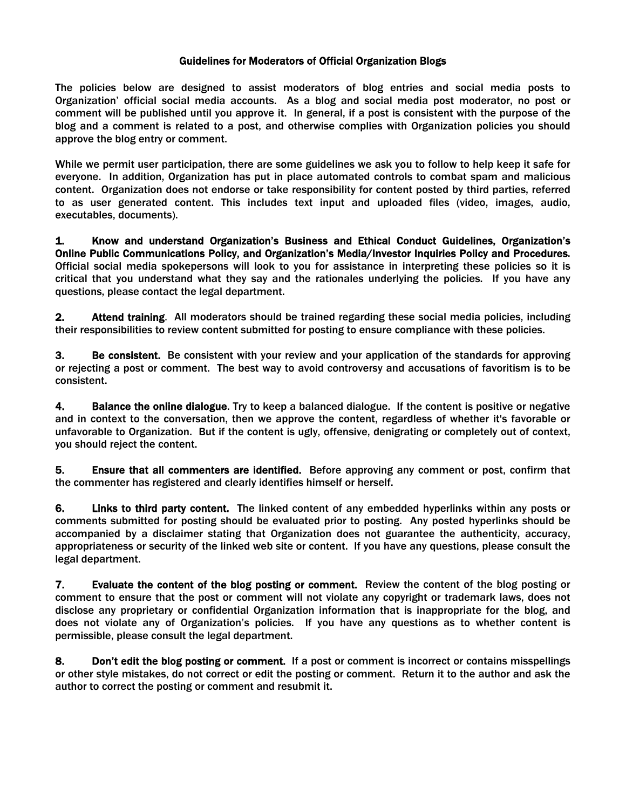### Guidelines for Moderators of Official Organization Blogs

The policies below are designed to assist moderators of blog entries and social media posts to Organization' official social media accounts. As a blog and social media post moderator, no post or comment will be published until you approve it. In general, if a post is consistent with the purpose of the blog and a comment is related to a post, and otherwise complies with Organization policies you should approve the blog entry or comment.

While we permit user participation, there are some guidelines we ask you to follow to help keep it safe for everyone. In addition, Organization has put in place automated controls to combat spam and malicious content. Organization does not endorse or take responsibility for content posted by third parties, referred to as user generated content. This includes text input and uploaded files (video, images, audio, executables, documents).

1. Know and understand Organization's Business and Ethical Conduct Guidelines, Organization's Online Public Communications Policy, and Organization's Media/Investor Inquiries Policy and Procedures. Official social media spokepersons will look to you for assistance in interpreting these policies so it is critical that you understand what they say and the rationales underlying the policies. If you have any questions, please contact the legal department.

2. Attend training. All moderators should be trained regarding these social media policies, including their responsibilities to review content submitted for posting to ensure compliance with these policies.

3. Be consistent. Be consistent with your review and your application of the standards for approving or rejecting a post or comment. The best way to avoid controversy and accusations of favoritism is to be consistent.

4. Balance the online dialogue. Try to keep a balanced dialogue. If the content is positive or negative and in context to the conversation, then we approve the content, regardless of whether it's favorable or unfavorable to Organization. But if the content is ugly, offensive, denigrating or completely out of context, you should reject the content.

5. Ensure that all commenters are identified. Before approving any comment or post, confirm that the commenter has registered and clearly identifies himself or herself.

6. Links to third party content. The linked content of any embedded hyperlinks within any posts or comments submitted for posting should be evaluated prior to posting. Any posted hyperlinks should be accompanied by a disclaimer stating that Organization does not guarantee the authenticity, accuracy, appropriateness or security of the linked web site or content. If you have any questions, please consult the legal department.

7. Evaluate the content of the blog posting or comment. Review the content of the blog posting or comment to ensure that the post or comment will not violate any copyright or trademark laws, does not disclose any proprietary or confidential Organization information that is inappropriate for the blog, and does not violate any of Organization's policies. If you have any questions as to whether content is permissible, please consult the legal department.

8. Don't edit the blog posting or comment. If a post or comment is incorrect or contains misspellings or other style mistakes, do not correct or edit the posting or comment. Return it to the author and ask the author to correct the posting or comment and resubmit it.